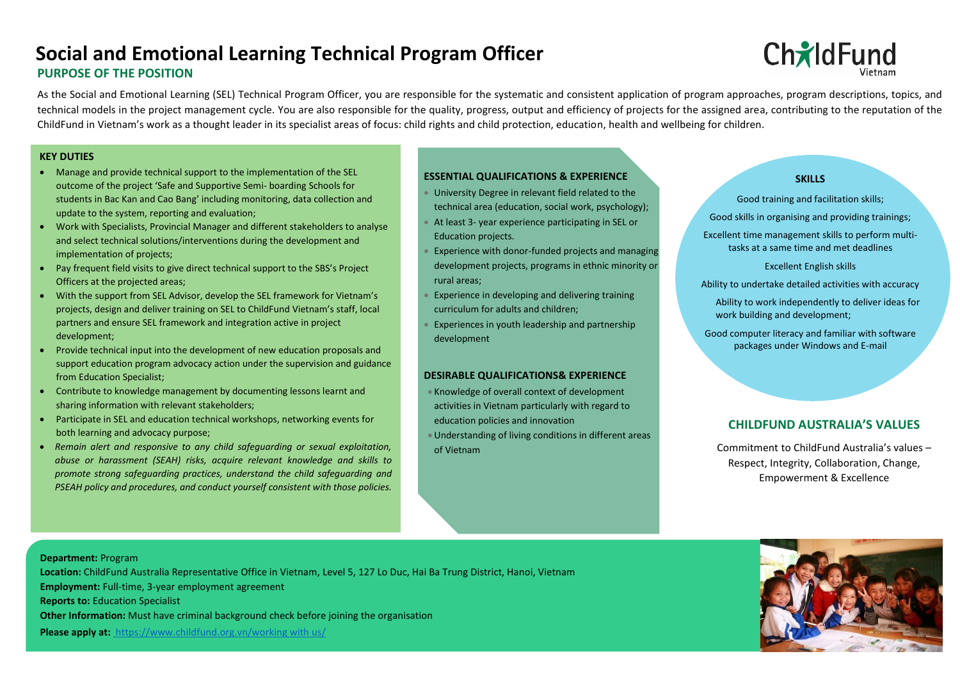## **PURPOSE OF THE POSITION Social and Emotional Learning Technical Program Officer**

# **Ch**ildFund

As the Social and Emotional Learning (SEL) Technical Program Officer, you are responsible for the systematic and consistent application of program approaches, program descriptions, topics, and technical models in the project management cycle. You are also responsible for the quality, progress, output and efficiency of projects for the assigned area, contributing to the reputation of the ChildFund in Vietnam's work as a thought leader in its specialist areas of focus: child rights and child protection, education, health and wellbeing for children.

#### **KEY DUTIES**

- Manage and provide technical support to the implementation of the SEL outcome of the project 'Safe and Supportive Semi- boarding Schools for students in Bac Kan and Cao Bang' including monitoring, data collection and update to the system, reporting and evaluation;
- Work with Specialists, Provincial Manager and different stakeholders to analyse and select technical solutions/interventions during the development and implementation of projects;
- Pay frequent field visits to give direct technical support to the SBS's Project Officers at the projected areas;
- With the support from SEL Advisor, develop the SEL framework for Vietnam's projects, design and deliver training on SEL to ChildFund Vietnam's staff, local partners and ensure SEL framework and integration active in project development;
- Provide technical input into the development of new education proposals and support education program advocacy action under the supervision and guidance from Education Specialist;
- Contribute to knowledge management by documenting lessons learnt and sharing information with relevant stakeholders;
- Participate in SEL and education technical workshops, networking events for both learning and advocacy purpose;
- *Remain alert and responsive to any child safeguarding or sexual exploitation, abuse or harassment (SEAH) risks, acquire relevant knowledge and skills to promote strong safeguarding practices, understand the child safeguarding and PSEAH policy and procedures, and conduct yourself consistent with those policies.*

## **ESSENTIAL QUALIFICATIONS & EXPERIENCE**

- University Degree in relevant field related to the technical area (education, social work, psychology);
- At least 3- year experience participating in SEL or Education projects.
- Experience with donor-funded projects and managing development projects, programs in ethnic minority or rural areas;
- Experience in developing and delivering training curriculum for adults and children;
- Experiences in youth leadership and partnership development

## **DESIRABLE QUALIFICATIONS& EXPERIENCE**

- Knowledge of overall context of development activities in Vietnam particularly with regard to education policies and innovation
- Understanding of living conditions in different areas of Vietnam

#### **SKILLS**

Good training and facilitation skills; Good skills in organising and providing trainings; Excellent time management skills to perform multi-

tasks at a same time and met deadlines

Excellent English skills

Ability to undertake detailed activities with accuracy

Ability to work independently to deliver ideas for work building and development;

Good computer literacy and familiar with software packages under Windows and E-mail

## **CHILDFUND AUSTRALIA'S VALUES**

Commitment to ChildFund Australia's values – Respect, Integrity, Collaboration, Change, Empowerment & Excellence

#### **Department:** Program

 **Location:** ChildFund Australia Representative Office in Vietnam, Level 5, 127 Lo Duc, Hai Ba Trung District, Hanoi, Vietnam

**Employment:** Full-time, 3-year employment agreement

**Reports to:** Education Specialist

**Other Information:** Must have criminal background check before joining the organisation

**Please apply at:** [https://www.childfund.org.vn/working with us/](https://www.childfund.org.vn/working%20with%20us/)